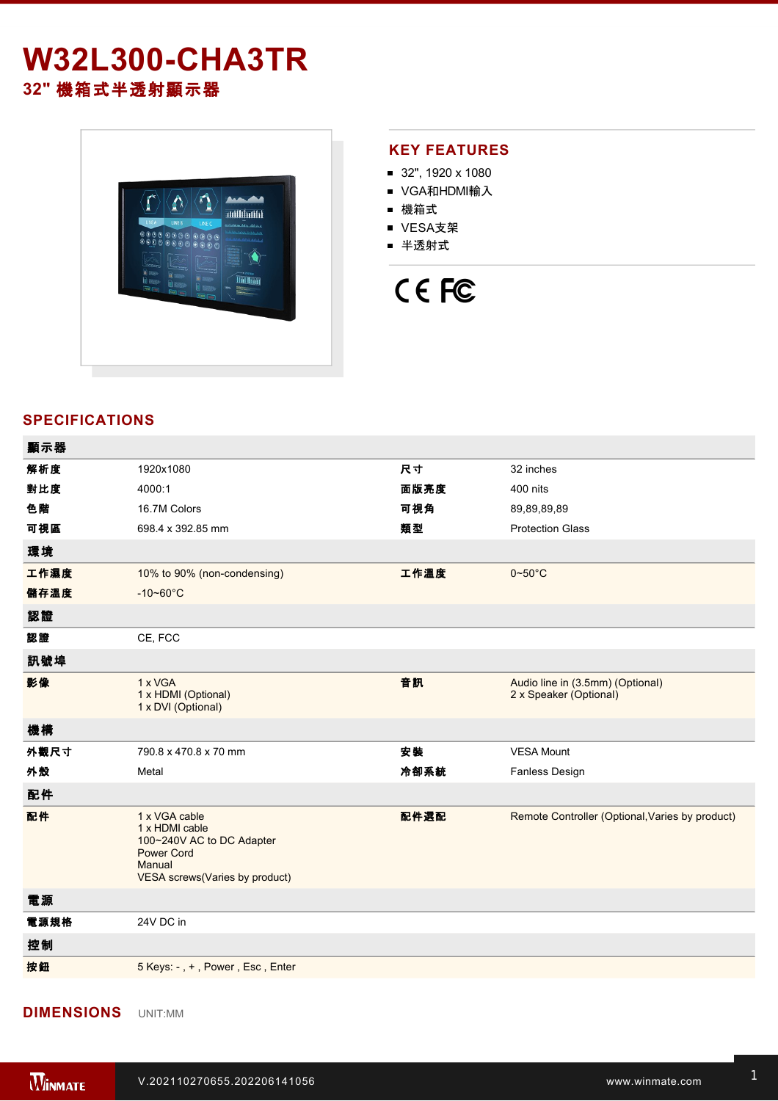# **W32L300-CHA3TR 32"** 機箱式半透射顯示器



#### **KEY FEATURES**

- 32", 1920 x 1080
- VGA和HDMI輸入
- 機箱式
- VESA支架
- 半透射式

# CE FC

### **SPECIFICATIONS**

| 顯示器  |                                                                                                                               |      |                                                                 |
|------|-------------------------------------------------------------------------------------------------------------------------------|------|-----------------------------------------------------------------|
| 解析度  | 1920x1080                                                                                                                     | 尺寸   | 32 inches                                                       |
| 對比度  | 4000:1                                                                                                                        | 面版亮度 | 400 nits                                                        |
| 色階   | 16.7M Colors                                                                                                                  | 可視角  | 89,89,89,89                                                     |
| 可視區  | 698.4 x 392.85 mm                                                                                                             | 類型   | <b>Protection Glass</b>                                         |
| 環境   |                                                                                                                               |      |                                                                 |
| 工作濕度 | 10% to 90% (non-condensing)                                                                                                   | 工作溫度 | $0\negthinspace\negthinspace\negthinspace 50^{\circ}\mathrm{C}$ |
| 儲存溫度 | $-10 - 60^{\circ}C$                                                                                                           |      |                                                                 |
| 認證   |                                                                                                                               |      |                                                                 |
| 認證   | CE, FCC                                                                                                                       |      |                                                                 |
| 訊號埠  |                                                                                                                               |      |                                                                 |
| 影像   | 1 x VGA<br>1 x HDMI (Optional)<br>1 x DVI (Optional)                                                                          | 音訊   | Audio line in (3.5mm) (Optional)<br>2 x Speaker (Optional)      |
| 機構   |                                                                                                                               |      |                                                                 |
| 外觀尺寸 | 790.8 x 470.8 x 70 mm                                                                                                         | 安裝   | <b>VESA Mount</b>                                               |
| 外殼   | Metal                                                                                                                         | 冷卻系統 | Fanless Design                                                  |
| 配件   |                                                                                                                               |      |                                                                 |
| 配件   | 1 x VGA cable<br>1 x HDMI cable<br>100~240V AC to DC Adapter<br><b>Power Cord</b><br>Manual<br>VESA screws(Varies by product) | 配件選配 | Remote Controller (Optional, Varies by product)                 |
| 電源   |                                                                                                                               |      |                                                                 |
| 電源規格 | 24V DC in                                                                                                                     |      |                                                                 |
| 控制   |                                                                                                                               |      |                                                                 |
| 按鈕   | 5 Keys: -, +, Power, Esc, Enter                                                                                               |      |                                                                 |
|      |                                                                                                                               |      |                                                                 |

## **DIMENSIONS**  UNIT:MM